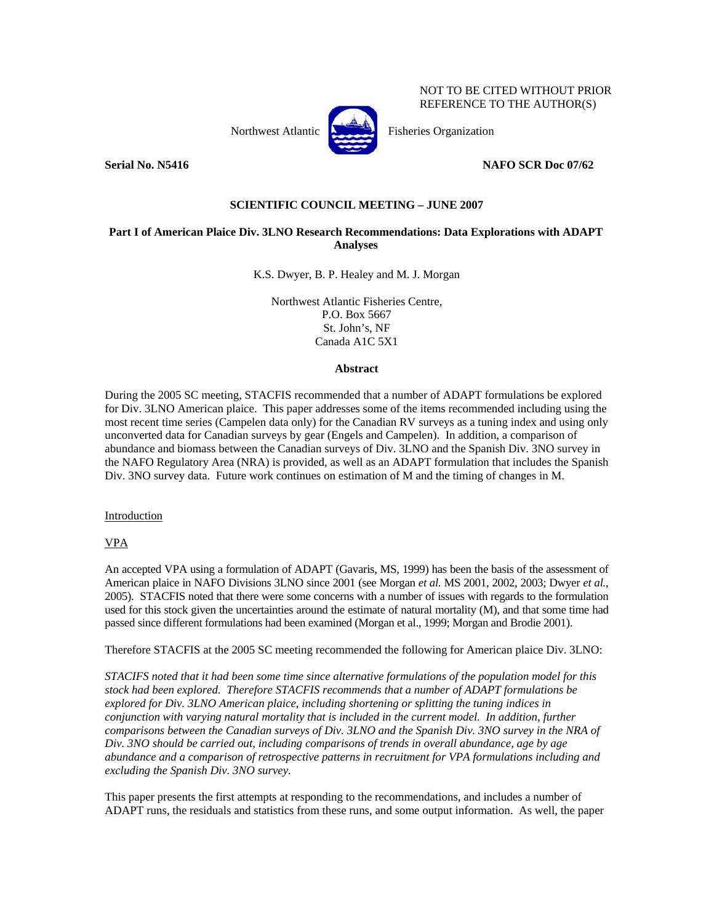Northwest Atlantic **Northuset** Fisheries Organization



NOT TO BE CITED WITHOUT PRIOR REFERENCE TO THE AUTHOR(S)

**Serial No. N5416 NAFO SCR Doc 07/62** 

# **SCIENTIFIC COUNCIL MEETING – JUNE 2007**

# **Part I of American Plaice Div. 3LNO Research Recommendations: Data Explorations with ADAPT Analyses**

K.S. Dwyer, B. P. Healey and M. J. Morgan

Northwest Atlantic Fisheries Centre, P.O. Box 5667 St. John's, NF Canada A1C 5X1

# **Abstract**

During the 2005 SC meeting, STACFIS recommended that a number of ADAPT formulations be explored for Div. 3LNO American plaice. This paper addresses some of the items recommended including using the most recent time series (Campelen data only) for the Canadian RV surveys as a tuning index and using only unconverted data for Canadian surveys by gear (Engels and Campelen). In addition, a comparison of abundance and biomass between the Canadian surveys of Div. 3LNO and the Spanish Div. 3NO survey in the NAFO Regulatory Area (NRA) is provided, as well as an ADAPT formulation that includes the Spanish Div. 3NO survey data. Future work continues on estimation of M and the timing of changes in M.

Introduction

VPA

An accepted VPA using a formulation of ADAPT (Gavaris, MS, 1999) has been the basis of the assessment of American plaice in NAFO Divisions 3LNO since 2001 (see Morgan *et al.* MS 2001, 2002, 2003; Dwyer *et al.*, 2005). STACFIS noted that there were some concerns with a number of issues with regards to the formulation used for this stock given the uncertainties around the estimate of natural mortality (M), and that some time had passed since different formulations had been examined (Morgan et al., 1999; Morgan and Brodie 2001).

Therefore STACFIS at the 2005 SC meeting recommended the following for American plaice Div. 3LNO:

*STACIFS noted that it had been some time since alternative formulations of the population model for this stock had been explored. Therefore STACFIS recommends that a number of ADAPT formulations be explored for Div. 3LNO American plaice, including shortening or splitting the tuning indices in conjunction with varying natural mortality that is included in the current model. In addition, further comparisons between the Canadian surveys of Div. 3LNO and the Spanish Div. 3NO survey in the NRA of Div. 3NO should be carried out, including comparisons of trends in overall abundance, age by age abundance and a comparison of retrospective patterns in recruitment for VPA formulations including and excluding the Spanish Div. 3NO survey.* 

This paper presents the first attempts at responding to the recommendations, and includes a number of ADAPT runs, the residuals and statistics from these runs, and some output information. As well, the paper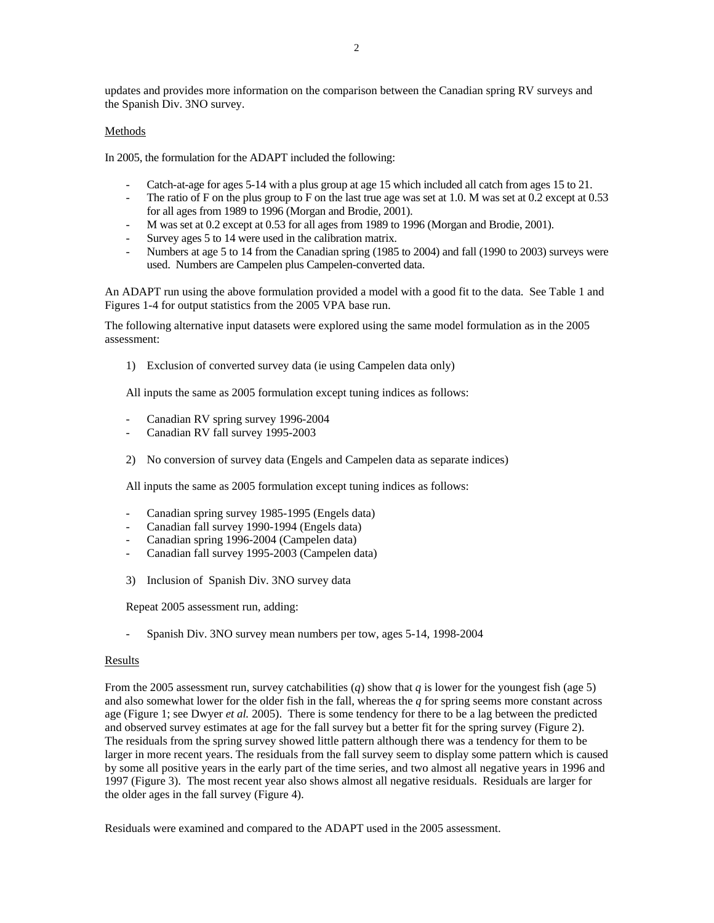updates and provides more information on the comparison between the Canadian spring RV surveys and the Spanish Div. 3NO survey.

# Methods

In 2005, the formulation for the ADAPT included the following:

- Catch-at-age for ages 5-14 with a plus group at age 15 which included all catch from ages 15 to 21.
- The ratio of F on the plus group to F on the last true age was set at 1.0. M was set at 0.2 except at 0.53 for all ages from 1989 to 1996 (Morgan and Brodie, 2001).
- M was set at 0.2 except at 0.53 for all ages from 1989 to 1996 (Morgan and Brodie, 2001).
- Survey ages 5 to 14 were used in the calibration matrix.
- Numbers at age 5 to 14 from the Canadian spring (1985 to 2004) and fall (1990 to 2003) surveys were used. Numbers are Campelen plus Campelen-converted data.

An ADAPT run using the above formulation provided a model with a good fit to the data. See Table 1 and Figures 1-4 for output statistics from the 2005 VPA base run.

The following alternative input datasets were explored using the same model formulation as in the 2005 assessment:

1) Exclusion of converted survey data (ie using Campelen data only)

All inputs the same as 2005 formulation except tuning indices as follows:

- Canadian RV spring survey 1996-2004
- Canadian RV fall survey 1995-2003
- 2) No conversion of survey data (Engels and Campelen data as separate indices)

All inputs the same as 2005 formulation except tuning indices as follows:

- Canadian spring survey 1985-1995 (Engels data)
- Canadian fall survey 1990-1994 (Engels data)
- Canadian spring 1996-2004 (Campelen data)
- Canadian fall survey 1995-2003 (Campelen data)
- 3) Inclusion of Spanish Div. 3NO survey data

Repeat 2005 assessment run, adding:

- Spanish Div. 3NO survey mean numbers per tow, ages 5-14, 1998-2004

### Results

From the 2005 assessment run, survey catchabilities (*q*) show that *q* is lower for the youngest fish (age 5) and also somewhat lower for the older fish in the fall, whereas the  $q$  for spring seems more constant across age (Figure 1; see Dwyer *et al.* 2005). There is some tendency for there to be a lag between the predicted and observed survey estimates at age for the fall survey but a better fit for the spring survey (Figure 2). The residuals from the spring survey showed little pattern although there was a tendency for them to be larger in more recent years. The residuals from the fall survey seem to display some pattern which is caused by some all positive years in the early part of the time series, and two almost all negative years in 1996 and 1997 (Figure 3). The most recent year also shows almost all negative residuals. Residuals are larger for the older ages in the fall survey (Figure 4).

Residuals were examined and compared to the ADAPT used in the 2005 assessment.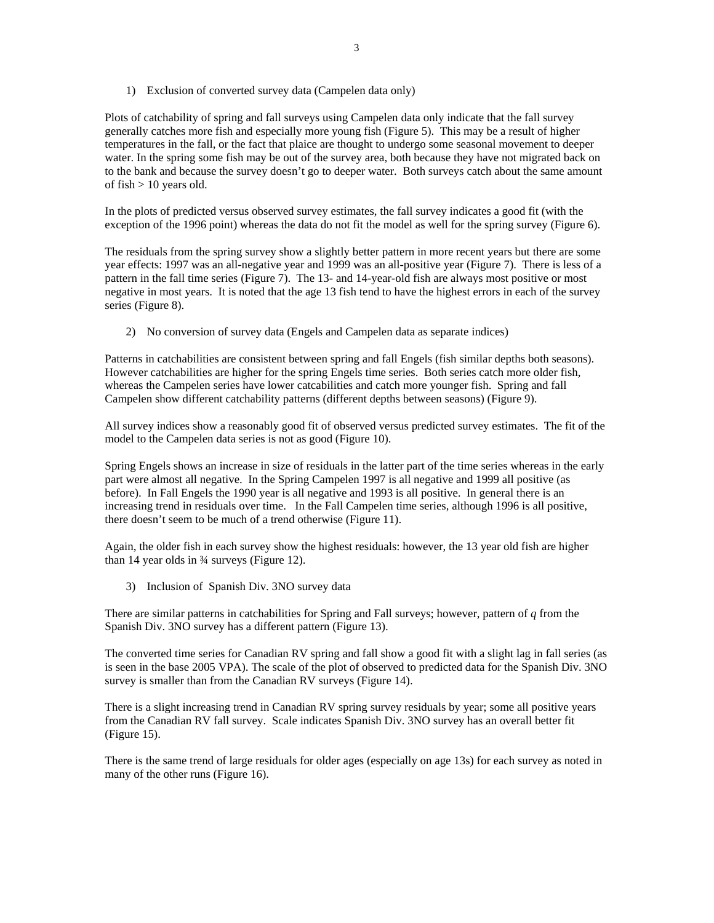1) Exclusion of converted survey data (Campelen data only)

Plots of catchability of spring and fall surveys using Campelen data only indicate that the fall survey generally catches more fish and especially more young fish (Figure 5). This may be a result of higher temperatures in the fall, or the fact that plaice are thought to undergo some seasonal movement to deeper water. In the spring some fish may be out of the survey area, both because they have not migrated back on to the bank and because the survey doesn't go to deeper water. Both surveys catch about the same amount of fish  $> 10$  years old.

In the plots of predicted versus observed survey estimates, the fall survey indicates a good fit (with the exception of the 1996 point) whereas the data do not fit the model as well for the spring survey (Figure 6).

The residuals from the spring survey show a slightly better pattern in more recent years but there are some year effects: 1997 was an all-negative year and 1999 was an all-positive year (Figure 7). There is less of a pattern in the fall time series (Figure 7). The 13- and 14-year-old fish are always most positive or most negative in most years. It is noted that the age 13 fish tend to have the highest errors in each of the survey series (Figure 8).

2) No conversion of survey data (Engels and Campelen data as separate indices)

Patterns in catchabilities are consistent between spring and fall Engels (fish similar depths both seasons). However catchabilities are higher for the spring Engels time series. Both series catch more older fish, whereas the Campelen series have lower catcabilities and catch more younger fish. Spring and fall Campelen show different catchability patterns (different depths between seasons) (Figure 9).

All survey indices show a reasonably good fit of observed versus predicted survey estimates. The fit of the model to the Campelen data series is not as good (Figure 10).

Spring Engels shows an increase in size of residuals in the latter part of the time series whereas in the early part were almost all negative. In the Spring Campelen 1997 is all negative and 1999 all positive (as before). In Fall Engels the 1990 year is all negative and 1993 is all positive. In general there is an increasing trend in residuals over time. In the Fall Campelen time series, although 1996 is all positive, there doesn't seem to be much of a trend otherwise (Figure 11).

Again, the older fish in each survey show the highest residuals: however, the 13 year old fish are higher than 14 year olds in ¾ surveys (Figure 12).

3) Inclusion of Spanish Div. 3NO survey data

There are similar patterns in catchabilities for Spring and Fall surveys; however, pattern of *q* from the Spanish Div. 3NO survey has a different pattern (Figure 13).

The converted time series for Canadian RV spring and fall show a good fit with a slight lag in fall series (as is seen in the base 2005 VPA). The scale of the plot of observed to predicted data for the Spanish Div. 3NO survey is smaller than from the Canadian RV surveys (Figure 14).

There is a slight increasing trend in Canadian RV spring survey residuals by year; some all positive years from the Canadian RV fall survey. Scale indicates Spanish Div. 3NO survey has an overall better fit (Figure 15).

There is the same trend of large residuals for older ages (especially on age 13s) for each survey as noted in many of the other runs (Figure 16).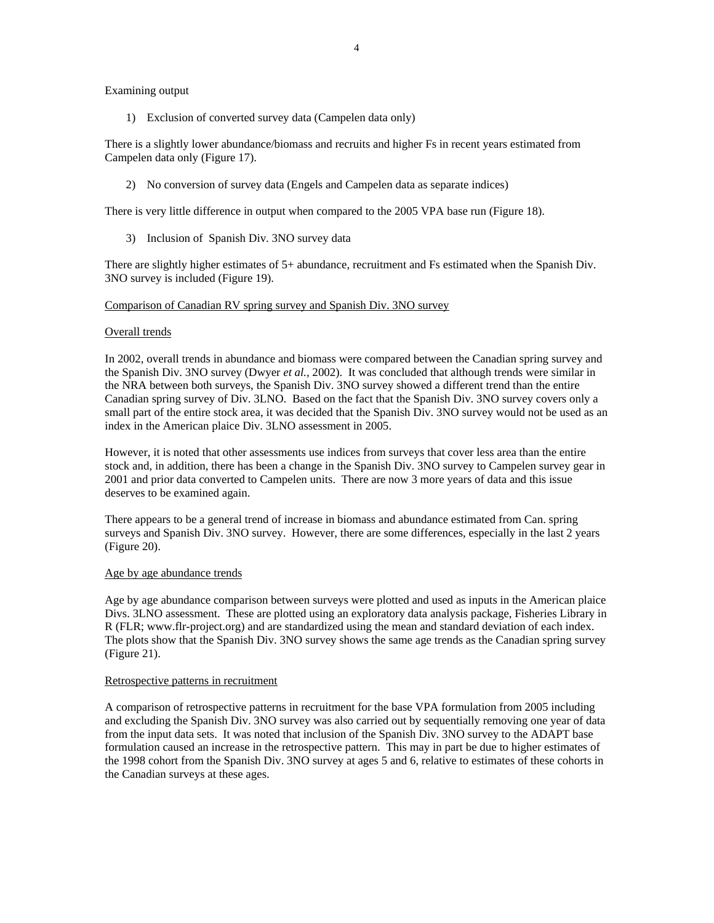# Examining output

1) Exclusion of converted survey data (Campelen data only)

There is a slightly lower abundance/biomass and recruits and higher Fs in recent years estimated from Campelen data only (Figure 17).

2) No conversion of survey data (Engels and Campelen data as separate indices)

There is very little difference in output when compared to the 2005 VPA base run (Figure 18).

3) Inclusion of Spanish Div. 3NO survey data

There are slightly higher estimates of 5+ abundance, recruitment and Fs estimated when the Spanish Div. 3NO survey is included (Figure 19).

# Comparison of Canadian RV spring survey and Spanish Div. 3NO survey

# Overall trends

In 2002, overall trends in abundance and biomass were compared between the Canadian spring survey and the Spanish Div. 3NO survey (Dwyer *et al.,* 2002). It was concluded that although trends were similar in the NRA between both surveys, the Spanish Div. 3NO survey showed a different trend than the entire Canadian spring survey of Div. 3LNO. Based on the fact that the Spanish Div. 3NO survey covers only a small part of the entire stock area, it was decided that the Spanish Div. 3NO survey would not be used as an index in the American plaice Div. 3LNO assessment in 2005.

However, it is noted that other assessments use indices from surveys that cover less area than the entire stock and, in addition, there has been a change in the Spanish Div. 3NO survey to Campelen survey gear in 2001 and prior data converted to Campelen units. There are now 3 more years of data and this issue deserves to be examined again.

There appears to be a general trend of increase in biomass and abundance estimated from Can. spring surveys and Spanish Div. 3NO survey. However, there are some differences, especially in the last 2 years (Figure 20).

### Age by age abundance trends

Age by age abundance comparison between surveys were plotted and used as inputs in the American plaice Divs. 3LNO assessment. These are plotted using an exploratory data analysis package, Fisheries Library in R (FLR; www.flr-project.org) and are standardized using the mean and standard deviation of each index. The plots show that the Spanish Div. 3NO survey shows the same age trends as the Canadian spring survey (Figure 21).

#### Retrospective patterns in recruitment

A comparison of retrospective patterns in recruitment for the base VPA formulation from 2005 including and excluding the Spanish Div. 3NO survey was also carried out by sequentially removing one year of data from the input data sets. It was noted that inclusion of the Spanish Div. 3NO survey to the ADAPT base formulation caused an increase in the retrospective pattern. This may in part be due to higher estimates of the 1998 cohort from the Spanish Div. 3NO survey at ages 5 and 6, relative to estimates of these cohorts in the Canadian surveys at these ages.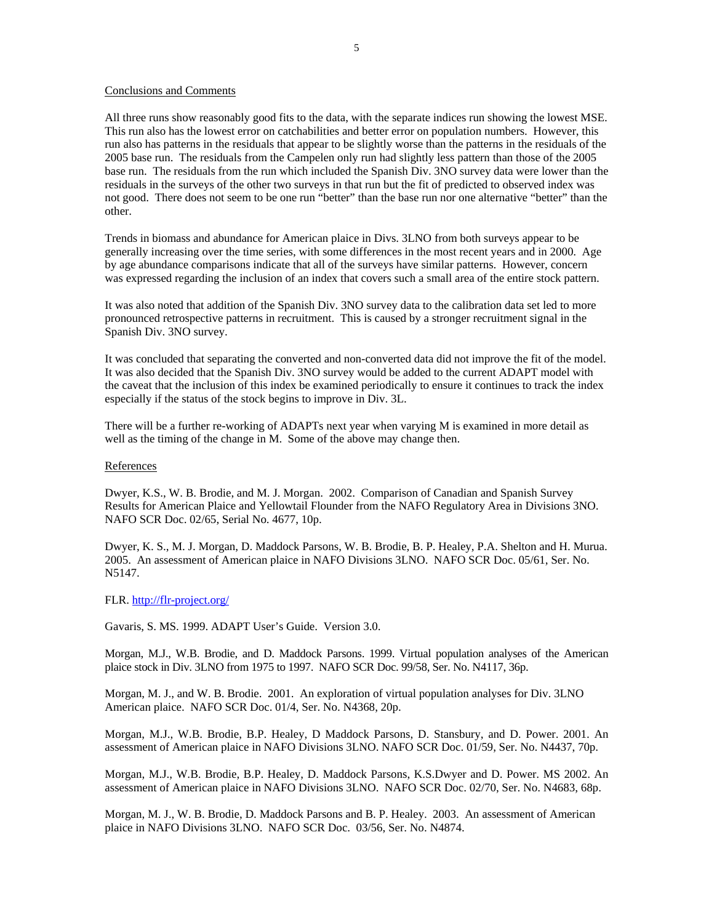### Conclusions and Comments

All three runs show reasonably good fits to the data, with the separate indices run showing the lowest MSE. This run also has the lowest error on catchabilities and better error on population numbers. However, this run also has patterns in the residuals that appear to be slightly worse than the patterns in the residuals of the 2005 base run. The residuals from the Campelen only run had slightly less pattern than those of the 2005 base run. The residuals from the run which included the Spanish Div. 3NO survey data were lower than the residuals in the surveys of the other two surveys in that run but the fit of predicted to observed index was not good. There does not seem to be one run "better" than the base run nor one alternative "better" than the other.

Trends in biomass and abundance for American plaice in Divs. 3LNO from both surveys appear to be generally increasing over the time series, with some differences in the most recent years and in 2000. Age by age abundance comparisons indicate that all of the surveys have similar patterns. However, concern was expressed regarding the inclusion of an index that covers such a small area of the entire stock pattern.

It was also noted that addition of the Spanish Div. 3NO survey data to the calibration data set led to more pronounced retrospective patterns in recruitment. This is caused by a stronger recruitment signal in the Spanish Div. 3NO survey.

It was concluded that separating the converted and non-converted data did not improve the fit of the model. It was also decided that the Spanish Div. 3NO survey would be added to the current ADAPT model with the caveat that the inclusion of this index be examined periodically to ensure it continues to track the index especially if the status of the stock begins to improve in Div. 3L.

There will be a further re-working of ADAPTs next year when varying M is examined in more detail as well as the timing of the change in M. Some of the above may change then.

#### References

Dwyer, K.S., W. B. Brodie, and M. J. Morgan. 2002. Comparison of Canadian and Spanish Survey Results for American Plaice and Yellowtail Flounder from the NAFO Regulatory Area in Divisions 3NO. NAFO SCR Doc. 02/65, Serial No. 4677, 10p.

Dwyer, K. S., M. J. Morgan, D. Maddock Parsons, W. B. Brodie, B. P. Healey, P.A. Shelton and H. Murua. 2005. An assessment of American plaice in NAFO Divisions 3LNO. NAFO SCR Doc. 05/61, Ser. No. N5147.

FLR. http://flr-project.org/

Gavaris, S. MS. 1999. ADAPT User's Guide. Version 3.0.

Morgan, M.J., W.B. Brodie, and D. Maddock Parsons. 1999. Virtual population analyses of the American plaice stock in Div. 3LNO from 1975 to 1997. NAFO SCR Doc. 99/58, Ser. No. N4117, 36p.

Morgan, M. J., and W. B. Brodie. 2001. An exploration of virtual population analyses for Div. 3LNO American plaice. NAFO SCR Doc. 01/4, Ser. No. N4368, 20p.

Morgan, M.J., W.B. Brodie, B.P. Healey, D Maddock Parsons, D. Stansbury, and D. Power. 2001. An assessment of American plaice in NAFO Divisions 3LNO. NAFO SCR Doc. 01/59, Ser. No. N4437, 70p.

Morgan, M.J., W.B. Brodie, B.P. Healey, D. Maddock Parsons, K.S.Dwyer and D. Power. MS 2002. An assessment of American plaice in NAFO Divisions 3LNO. NAFO SCR Doc. 02/70, Ser. No. N4683, 68p.

Morgan, M. J., W. B. Brodie, D. Maddock Parsons and B. P. Healey. 2003. An assessment of American plaice in NAFO Divisions 3LNO. NAFO SCR Doc. 03/56, Ser. No. N4874.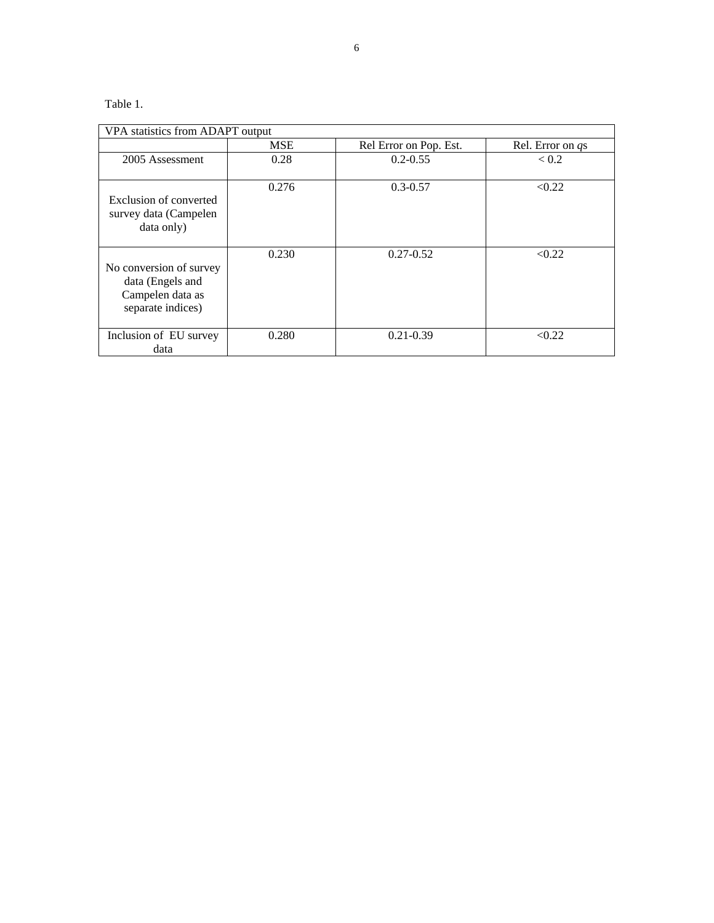# Table 1.

|                                                                                      | <b>MSE</b> | Rel Error on Pop. Est. | Rel. Error on qs |
|--------------------------------------------------------------------------------------|------------|------------------------|------------------|
| 2005 Assessment                                                                      | 0.28       | $0.2 - 0.55$           | < 0.2            |
| Exclusion of converted<br>survey data (Campelen<br>data only)                        | 0.276      | $0.3 - 0.57$           | < 0.22           |
| No conversion of survey<br>data (Engels and<br>Campelen data as<br>separate indices) | 0.230      | $0.27 - 0.52$          | < 0.22           |
| Inclusion of EU survey<br>data                                                       | 0.280      | $0.21 - 0.39$          | < 0.22           |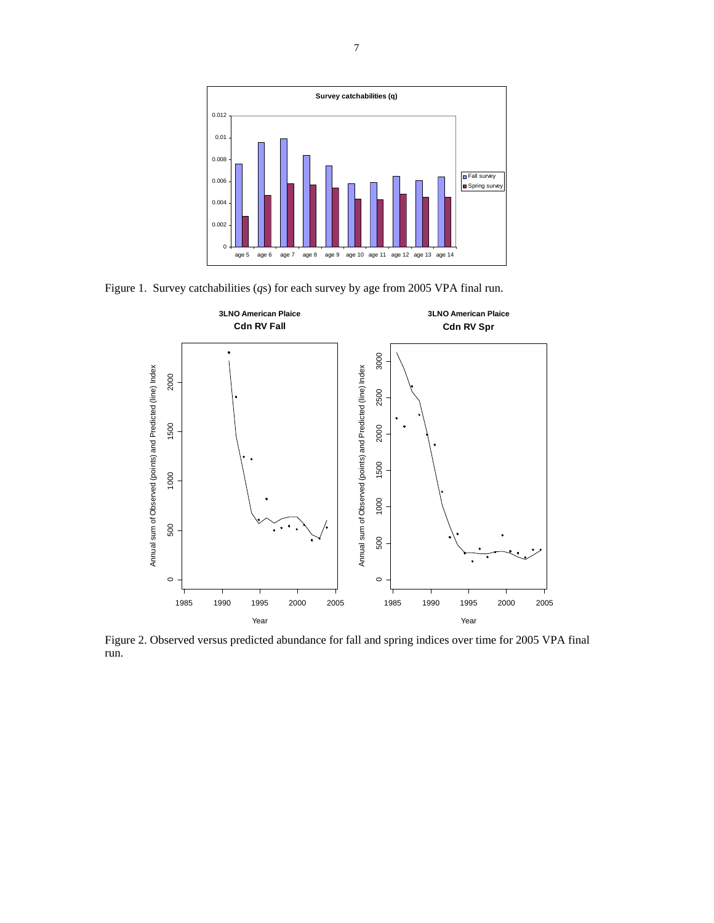

Figure 1. Survey catchabilities (*q*s) for each survey by age from 2005 VPA final run.



Figure 2. Observed versus predicted abundance for fall and spring indices over time for 2005 VPA final run.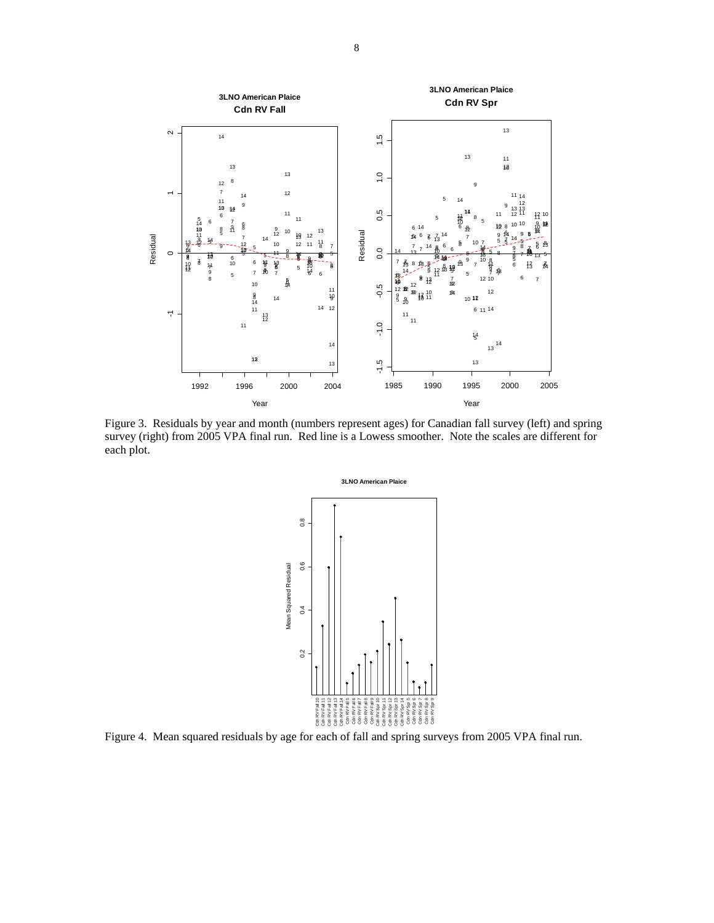

Figure 3. Residuals by year and month (numbers represent ages) for Canadian fall survey (left) and spring survey (right) from 2005 VPA final run. Red line is a Lowess smoother. Note the scales are different for each plot.



Figure 4. Mean squared residuals by age for each of fall and spring surveys from 2005 VPA final run.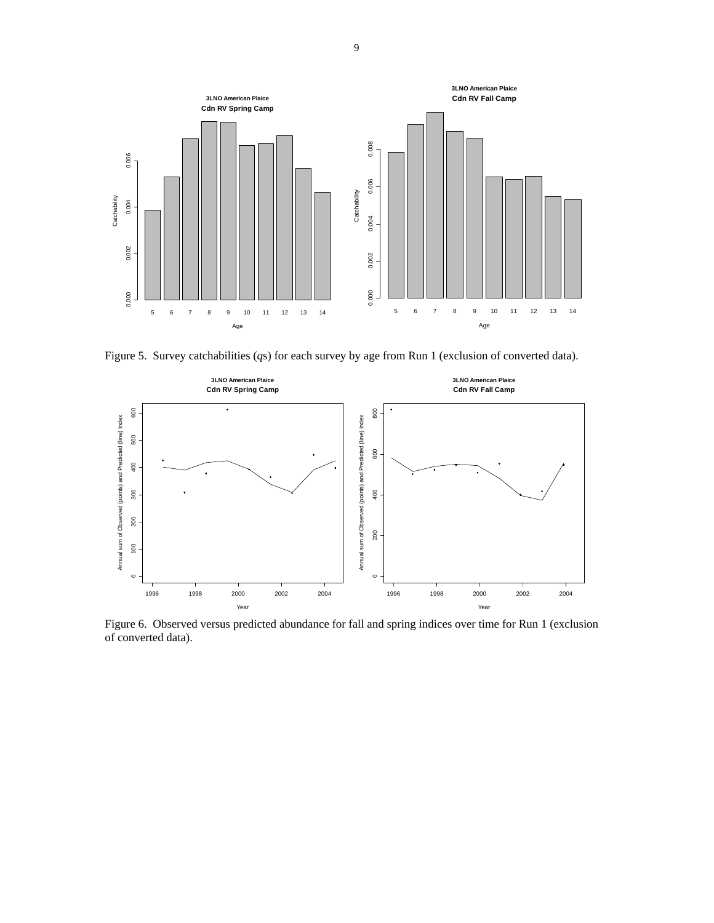

Figure 5. Survey catchabilities (*q*s) for each survey by age from Run 1 (exclusion of converted data).



Figure 6. Observed versus predicted abundance for fall and spring indices over time for Run 1 (exclusion of converted data).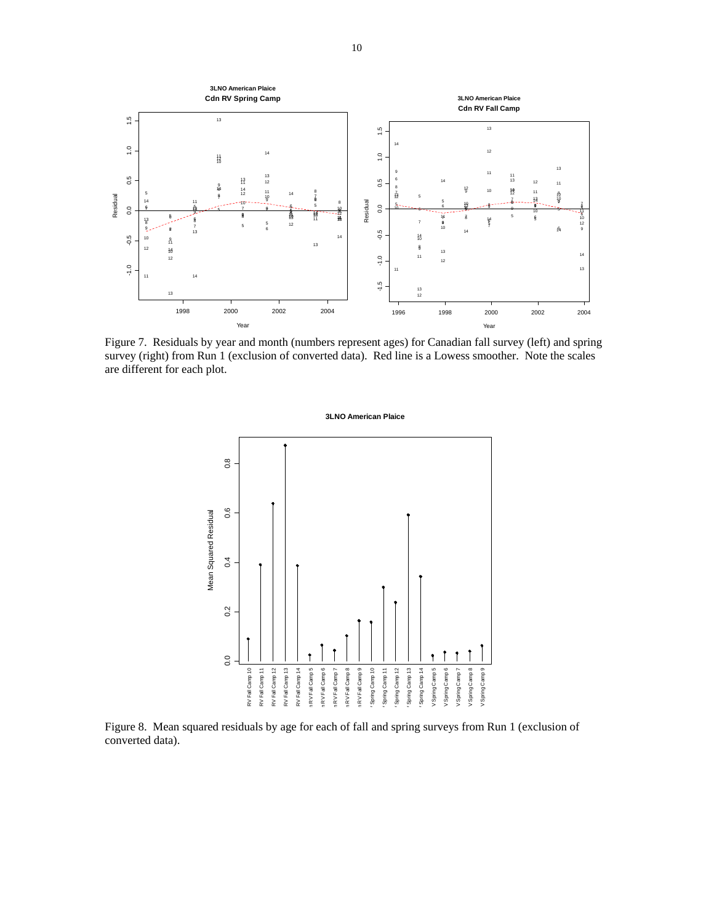

Figure 7. Residuals by year and month (numbers represent ages) for Canadian fall survey (left) and spring survey (right) from Run 1 (exclusion of converted data). Red line is a Lowess smoother. Note the scales are different for each plot.

#### **3LNO American Plaice**



Figure 8. Mean squared residuals by age for each of fall and spring surveys from Run 1 (exclusion of converted data).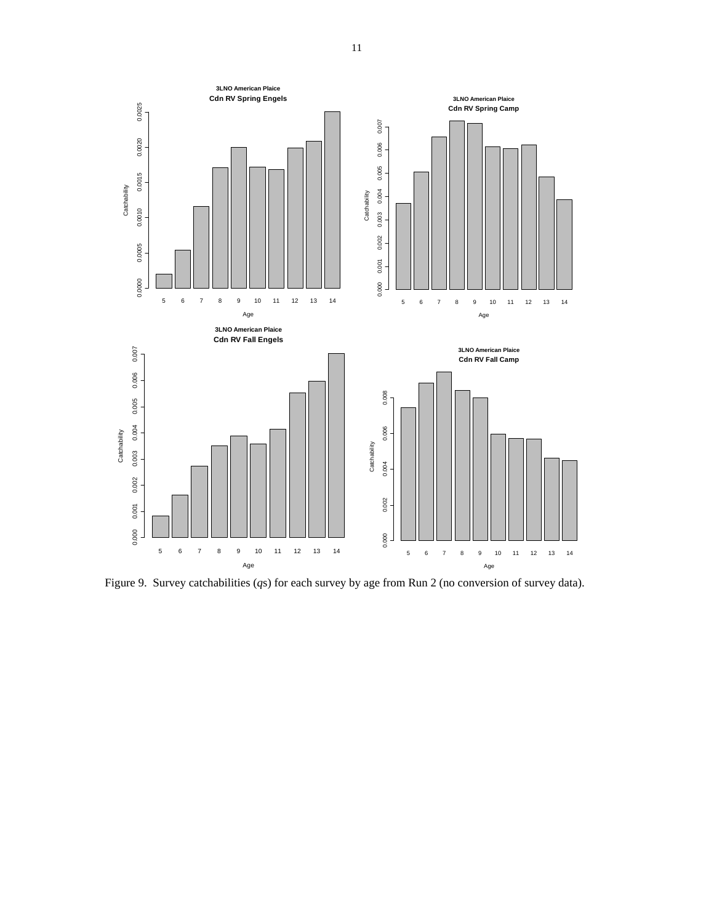

Figure 9. Survey catchabilities (*q*s) for each survey by age from Run 2 (no conversion of survey data).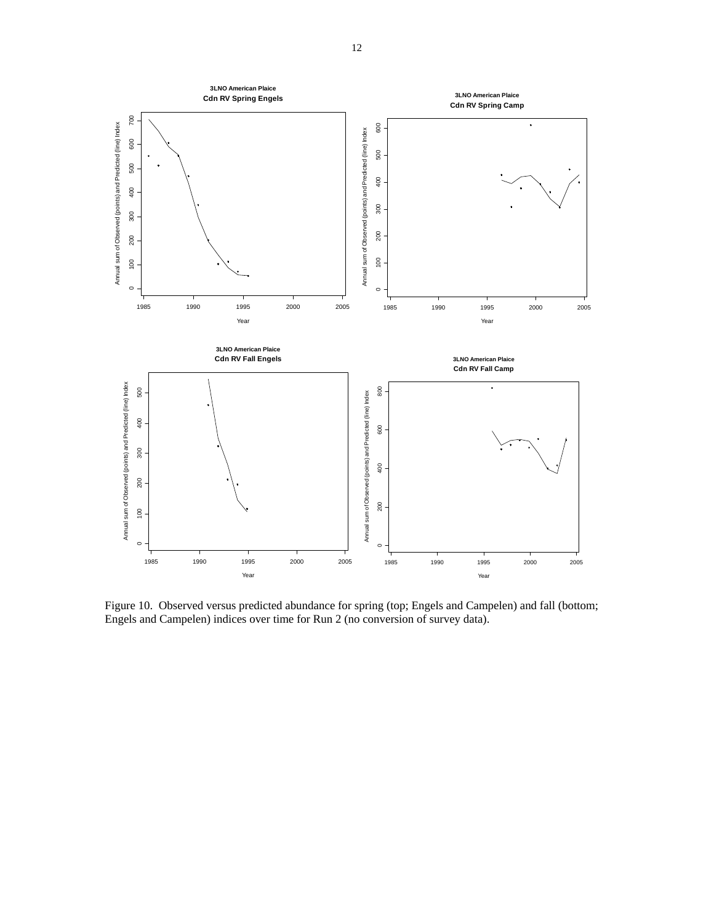

Figure 10. Observed versus predicted abundance for spring (top; Engels and Campelen) and fall (bottom; Engels and Campelen) indices over time for Run 2 (no conversion of survey data).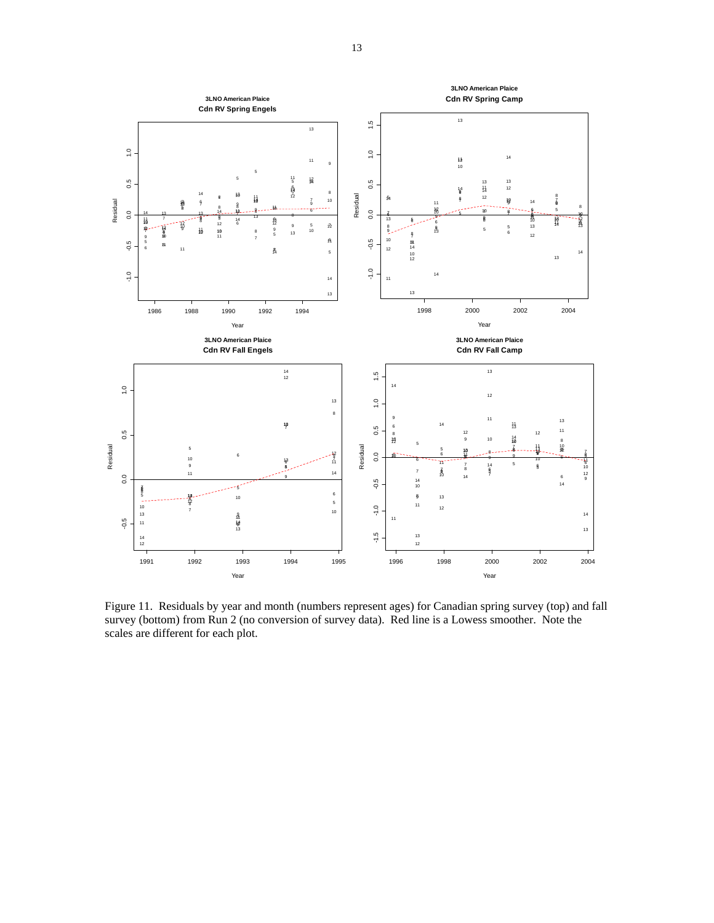

Figure 11. Residuals by year and month (numbers represent ages) for Canadian spring survey (top) and fall survey (bottom) from Run 2 (no conversion of survey data). Red line is a Lowess smoother. Note the scales are different for each plot.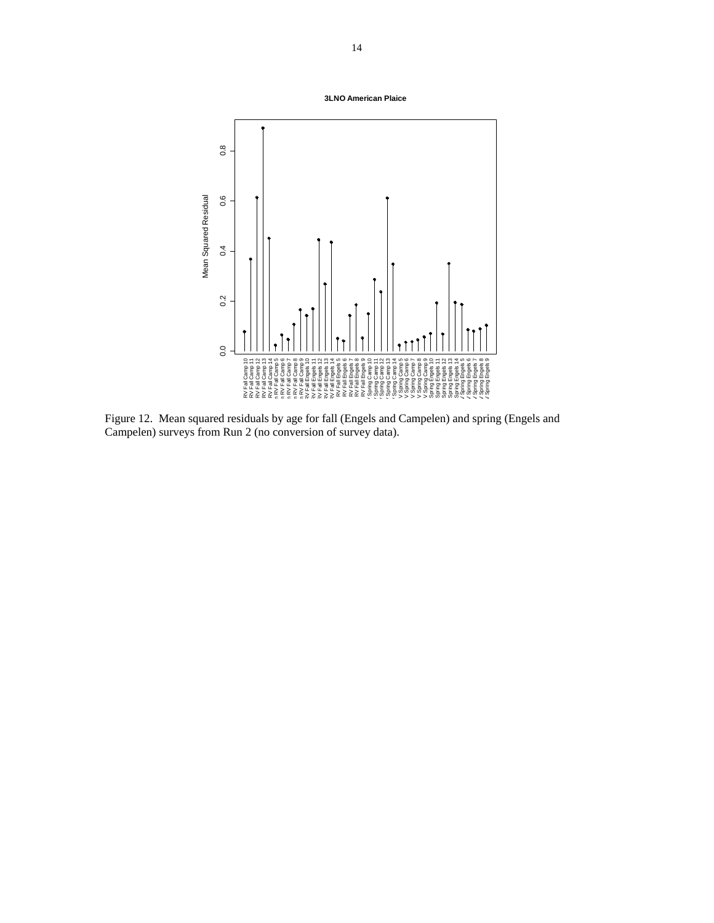**3LNO American Plaice**



Figure 12. Mean squared residuals by age for fall (Engels and Campelen) and spring (Engels and Campelen) surveys from Run 2 (no conversion of survey data).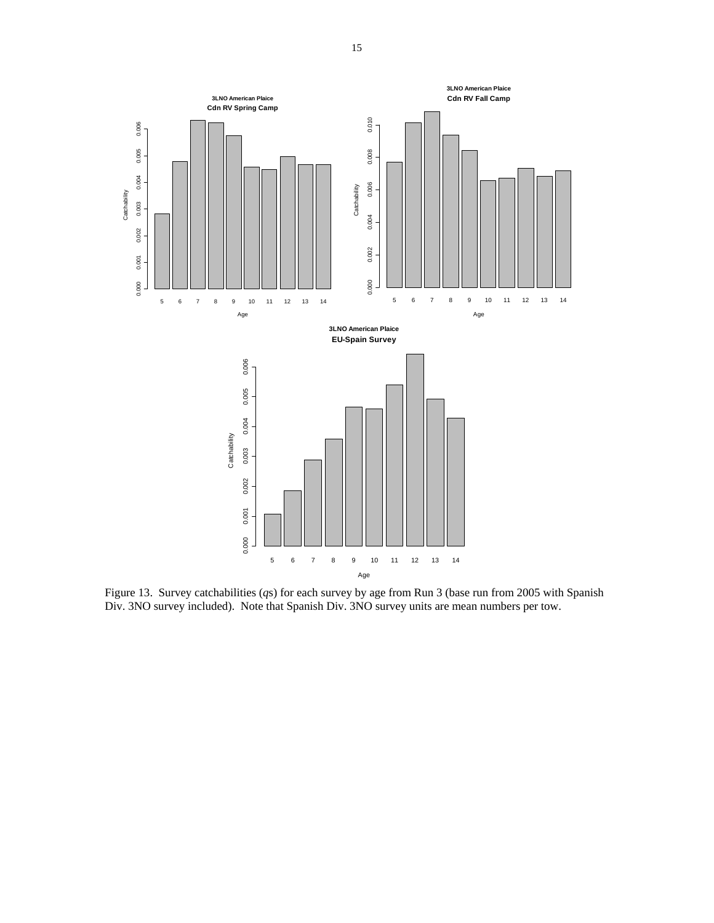

Figure 13. Survey catchabilities (*q*s) for each survey by age from Run 3 (base run from 2005 with Spanish Div. 3NO survey included). Note that Spanish Div. 3NO survey units are mean numbers per tow.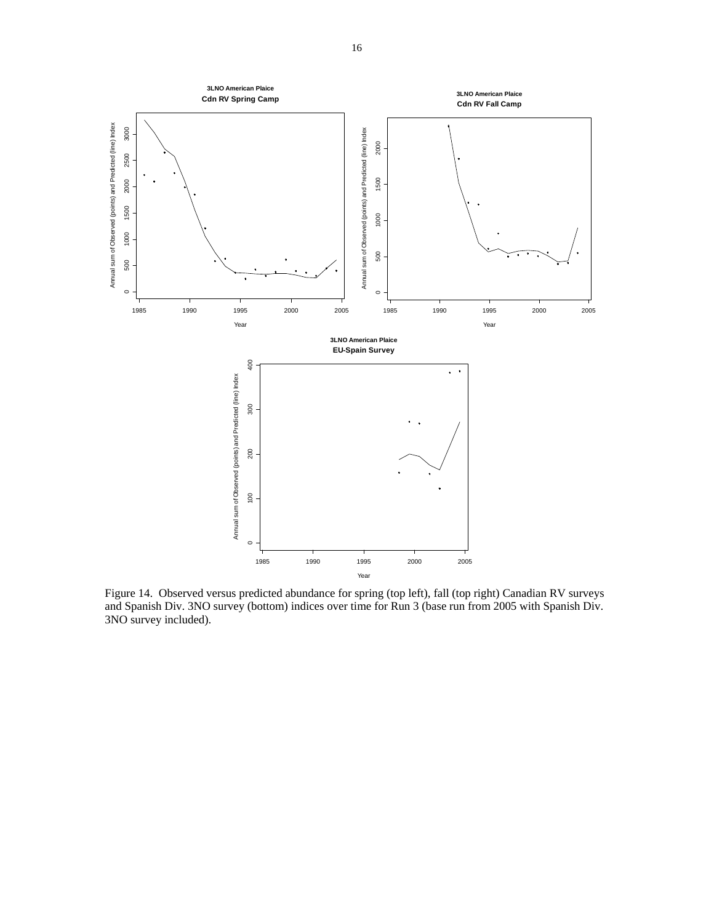

Figure 14. Observed versus predicted abundance for spring (top left), fall (top right) Canadian RV surveys and Spanish Div. 3NO survey (bottom) indices over time for Run 3 (base run from 2005 with Spanish Div. 3NO survey included).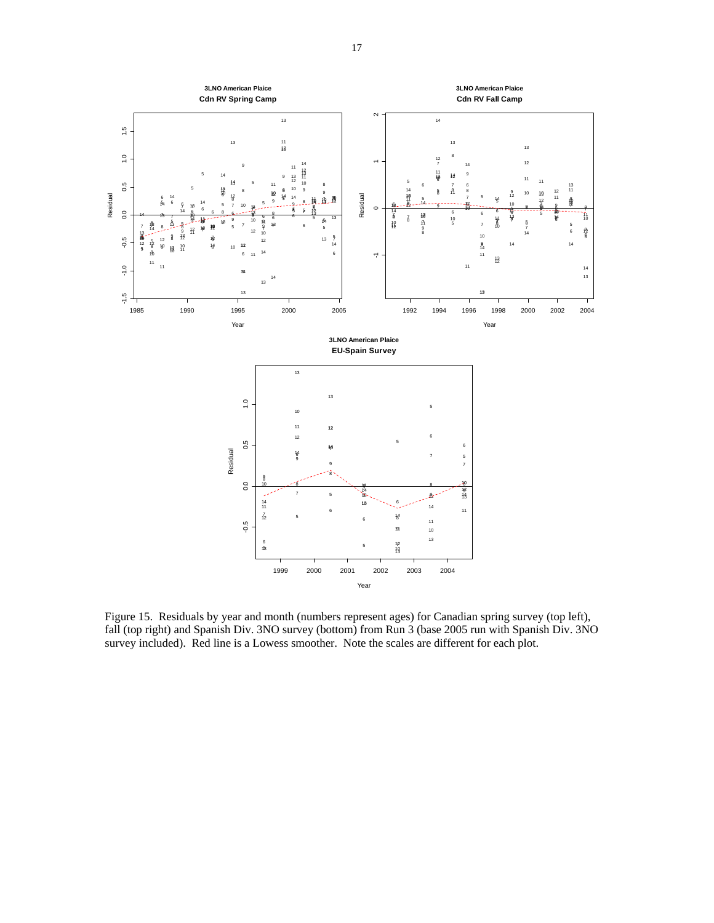

Figure 15. Residuals by year and month (numbers represent ages) for Canadian spring survey (top left), fall (top right) and Spanish Div. 3NO survey (bottom) from Run 3 (base 2005 run with Spanish Div. 3NO survey included). Red line is a Lowess smoother. Note the scales are different for each plot.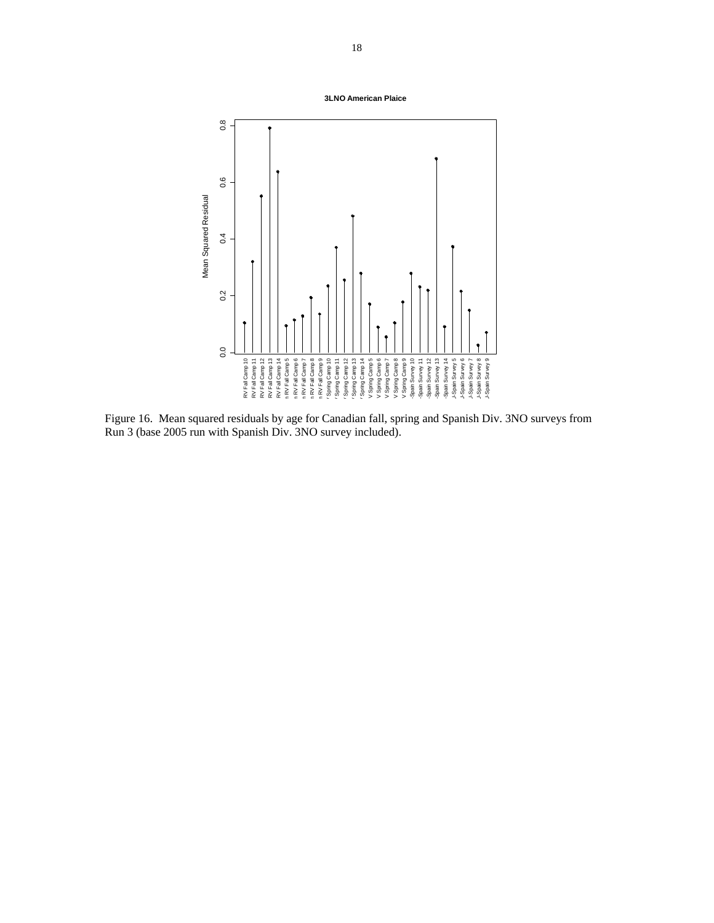**3LNO American Plaice**



Figure 16. Mean squared residuals by age for Canadian fall, spring and Spanish Div. 3NO surveys from Run 3 (base 2005 run with Spanish Div. 3NO survey included).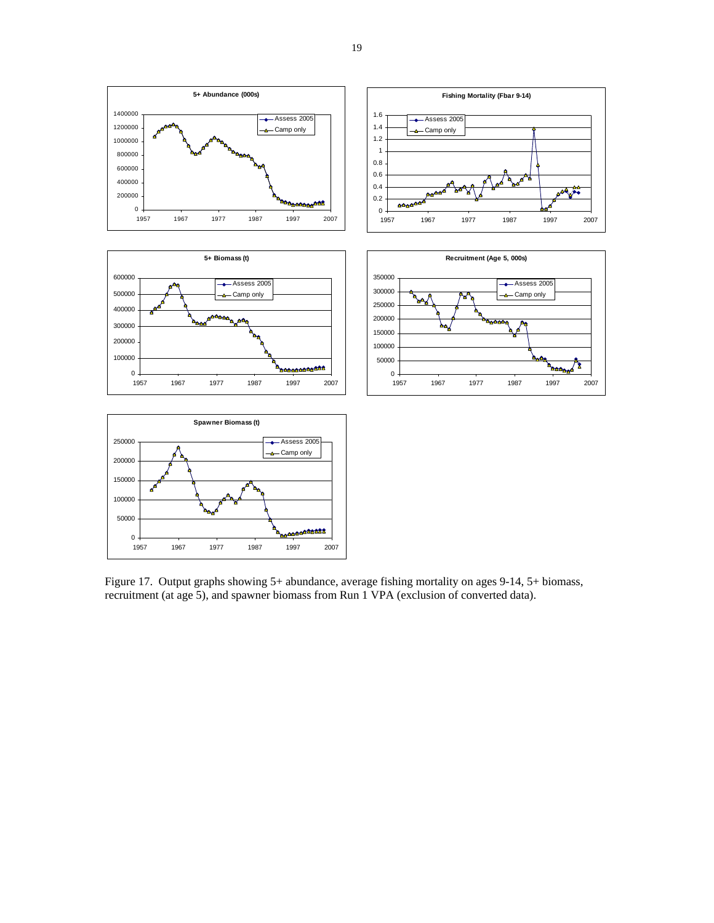

Figure 17. Output graphs showing 5+ abundance, average fishing mortality on ages 9-14, 5+ biomass, recruitment (at age 5), and spawner biomass from Run 1 VPA (exclusion of converted data).

**MAA** 

 $\mathbf 0$  .

1957 1967 1977 1987 1997 2007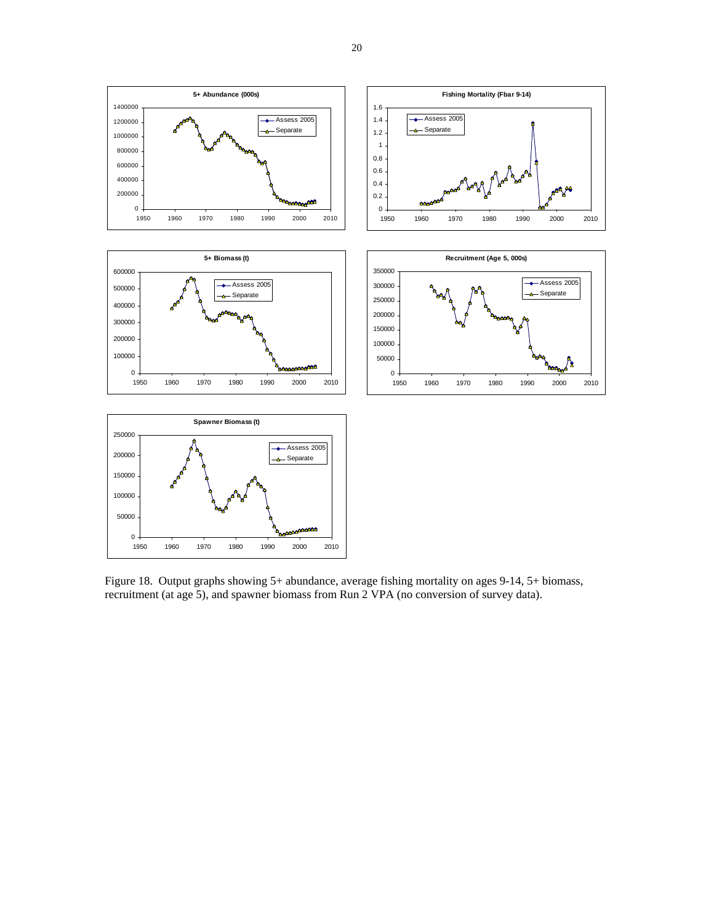

Figure 18. Output graphs showing 5+ abundance, average fishing mortality on ages 9-14, 5+ biomass, recruitment (at age 5), and spawner biomass from Run 2 VPA (no conversion of survey data).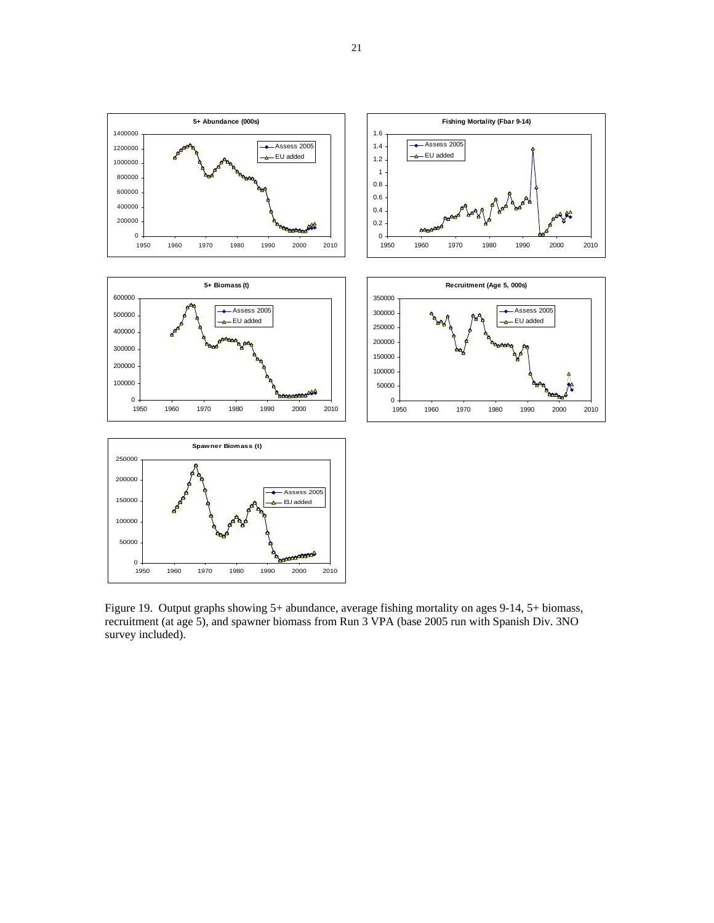

Figure 19. Output graphs showing 5+ abundance, average fishing mortality on ages 9-14, 5+ biomass, recruitment (at age 5), and spawner biomass from Run 3 VPA (base 2005 run with Spanish Div. 3NO survey included).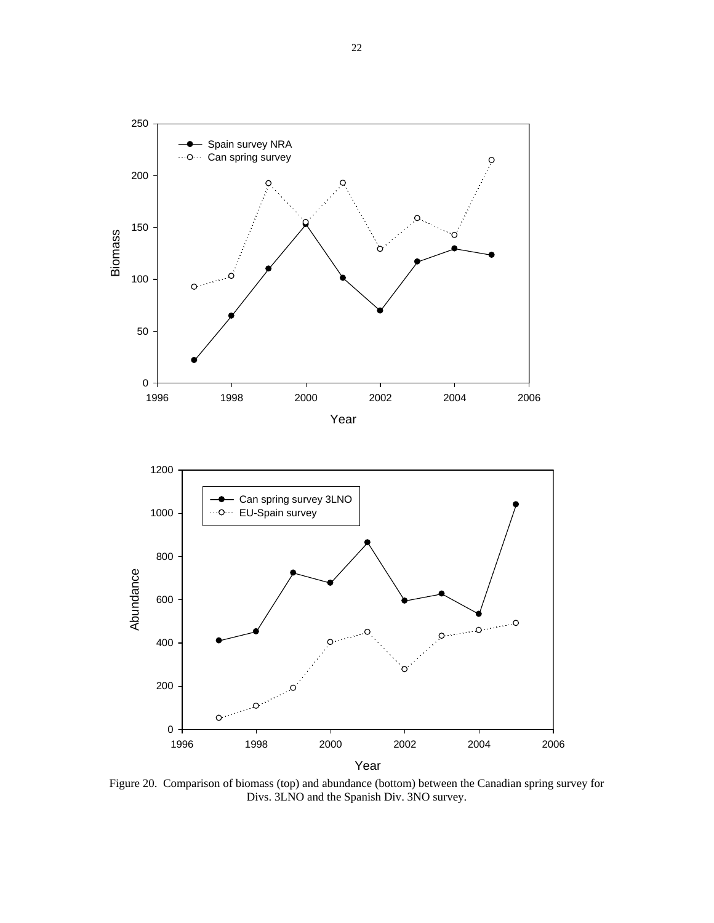

Year

Figure 20. Comparison of biomass (top) and abundance (bottom) between the Canadian spring survey for Divs. 3LNO and the Spanish Div. 3NO survey.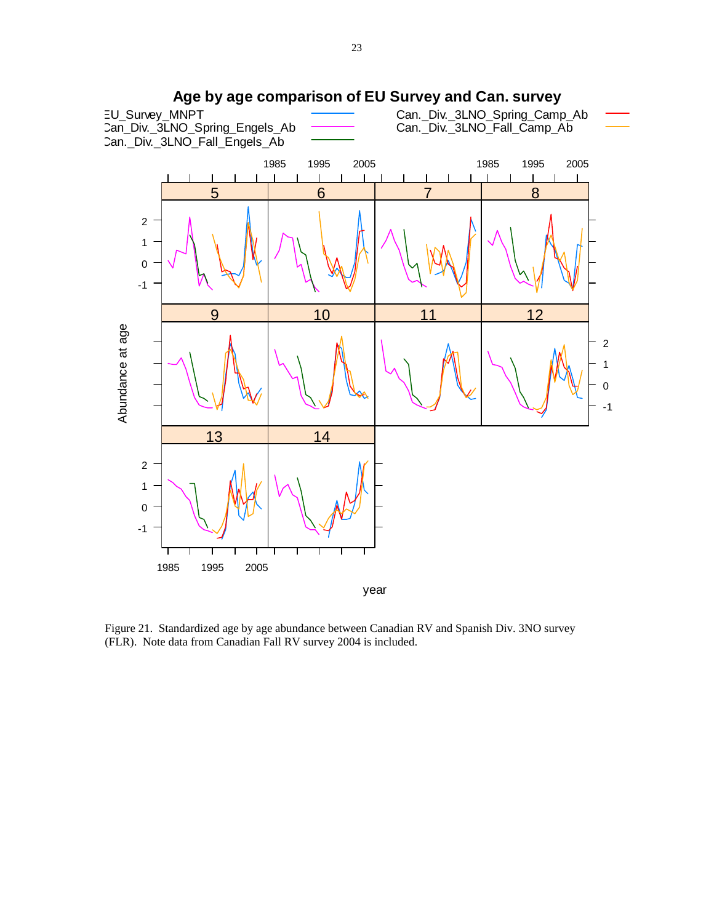

Figure 21. Standardized age by age abundance between Canadian RV and Spanish Div. 3NO survey (FLR). Note data from Canadian Fall RV survey 2004 is included.